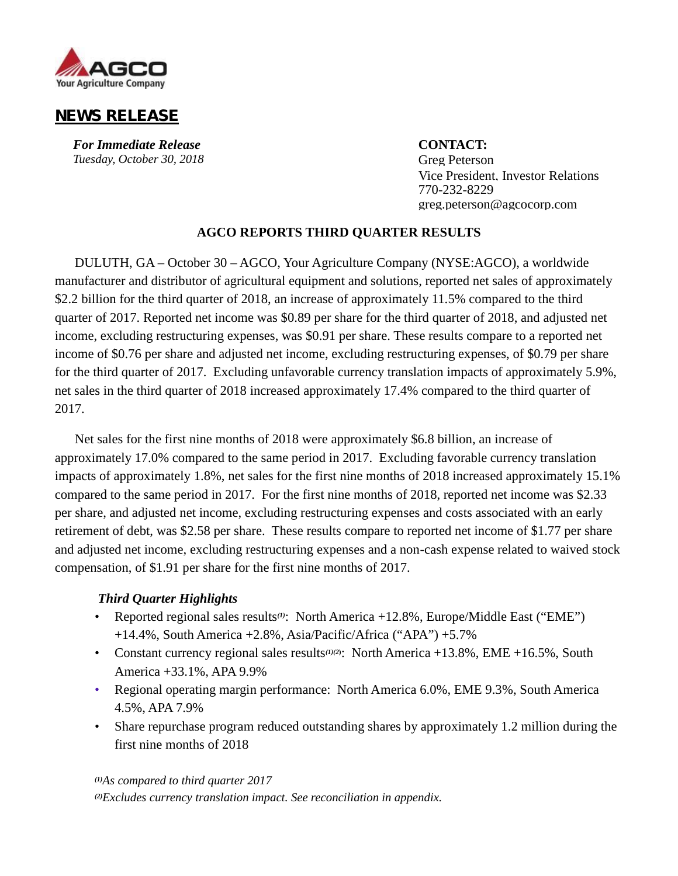

# **NEWS RELEASE**

*For Immediate Release* **CONTACT:** *Tuesday, October 30, 2018* Greg Peterson

Vice President, Investor Relations 770-232-8229 greg.peterson@agcocorp.com

### **AGCO REPORTS THIRD QUARTER RESULTS**

DULUTH, GA – October 30 – AGCO, Your Agriculture Company (NYSE:AGCO), a worldwide manufacturer and distributor of agricultural equipment and solutions, reported net sales of approximately \$2.2 billion for the third quarter of 2018, an increase of approximately 11.5% compared to the third quarter of 2017. Reported net income was \$0.89 per share for the third quarter of 2018, and adjusted net income, excluding restructuring expenses, was \$0.91 per share. These results compare to a reported net income of \$0.76 per share and adjusted net income, excluding restructuring expenses, of \$0.79 per share for the third quarter of 2017. Excluding unfavorable currency translation impacts of approximately 5.9%, net sales in the third quarter of 2018 increased approximately 17.4% compared to the third quarter of 2017.

Net sales for the first nine months of 2018 were approximately \$6.8 billion, an increase of approximately 17.0% compared to the same period in 2017. Excluding favorable currency translation impacts of approximately 1.8%, net sales for the first nine months of 2018 increased approximately 15.1% compared to the same period in 2017. For the first nine months of 2018, reported net income was \$2.33 per share, and adjusted net income, excluding restructuring expenses and costs associated with an early retirement of debt, was \$2.58 per share. These results compare to reported net income of \$1.77 per share and adjusted net income, excluding restructuring expenses and a non-cash expense related to waived stock compensation, of \$1.91 per share for the first nine months of 2017.

### *Third Quarter Highlights*

- Reported regional sales results*(1)*: North America +12.8%, Europe/Middle East ("EME") +14.4%, South America +2.8%, Asia/Pacific/Africa ("APA") +5.7%
- Constant currency regional sales results<sup>(1)(2)</sup>: North America +13.8%, EME +16.5%, South America +33.1%, APA 9.9%
- Regional operating margin performance: North America 6.0%, EME 9.3%, South America 4.5%, APA 7.9%
- Share repurchase program reduced outstanding shares by approximately 1.2 million during the first nine months of 2018

#### *(1)As compared to third quarter 2017*

*(2)Excludes currency translation impact. See reconciliation in appendix.*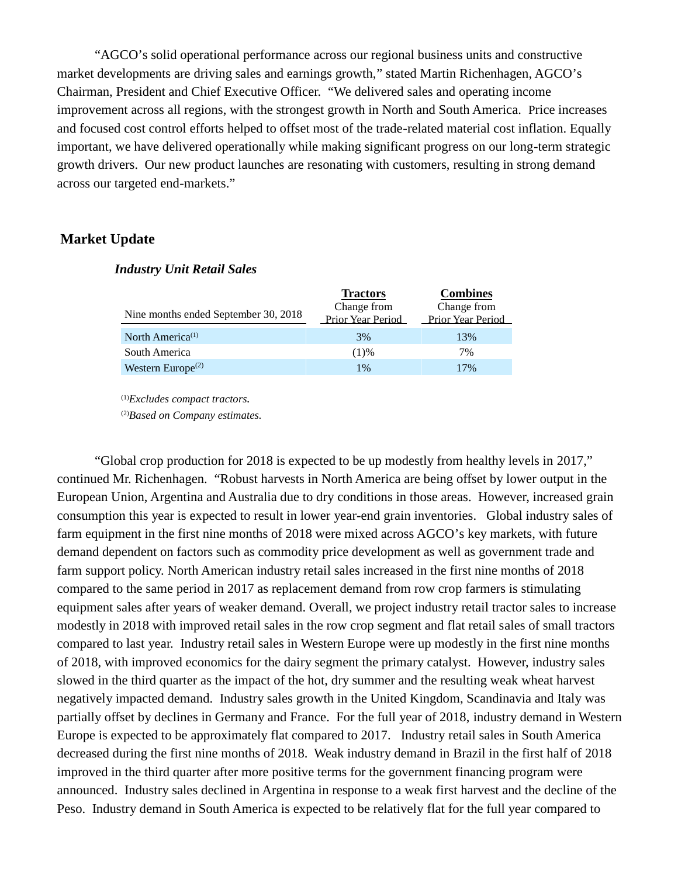"AGCO's solid operational performance across our regional business units and constructive market developments are driving sales and earnings growth," stated Martin Richenhagen, AGCO's Chairman, President and Chief Executive Officer. "We delivered sales and operating income improvement across all regions, with the strongest growth in North and South America. Price increases and focused cost control efforts helped to offset most of the trade-related material cost inflation. Equally important, we have delivered operationally while making significant progress on our long-term strategic growth drivers. Our new product launches are resonating with customers, resulting in strong demand across our targeted end-markets."

### **Market Update**

| Nine months ended September 30, 2018 | <b>Tractors</b><br>Change from<br><b>Prior Year Period</b> | <b>Combines</b><br>Change from<br><b>Prior Year Period</b> |
|--------------------------------------|------------------------------------------------------------|------------------------------------------------------------|
| North America <sup>(1)</sup>         | 3%                                                         | 13%                                                        |
| South America                        | (1)%                                                       | 7%                                                         |
| Western Europe <sup>(2)</sup>        | $1\%$                                                      | 17%                                                        |

### *Industry Unit Retail Sales*

(1)*Excludes compact tractors.*

(2)*Based on Company estimates.*

"Global crop production for 2018 is expected to be up modestly from healthy levels in 2017," continued Mr. Richenhagen. "Robust harvests in North America are being offset by lower output in the European Union, Argentina and Australia due to dry conditions in those areas. However, increased grain consumption this year is expected to result in lower year-end grain inventories. Global industry sales of farm equipment in the first nine months of 2018 were mixed across AGCO's key markets, with future demand dependent on factors such as commodity price development as well as government trade and farm support policy. North American industry retail sales increased in the first nine months of 2018 compared to the same period in 2017 as replacement demand from row crop farmers is stimulating equipment sales after years of weaker demand. Overall, we project industry retail tractor sales to increase modestly in 2018 with improved retail sales in the row crop segment and flat retail sales of small tractors compared to last year. Industry retail sales in Western Europe were up modestly in the first nine months of 2018, with improved economics for the dairy segment the primary catalyst. However, industry sales slowed in the third quarter as the impact of the hot, dry summer and the resulting weak wheat harvest negatively impacted demand. Industry sales growth in the United Kingdom, Scandinavia and Italy was partially offset by declines in Germany and France. For the full year of 2018, industry demand in Western Europe is expected to be approximately flat compared to 2017. Industry retail sales in South America decreased during the first nine months of 2018. Weak industry demand in Brazil in the first half of 2018 improved in the third quarter after more positive terms for the government financing program were announced. Industry sales declined in Argentina in response to a weak first harvest and the decline of the Peso. Industry demand in South America is expected to be relatively flat for the full year compared to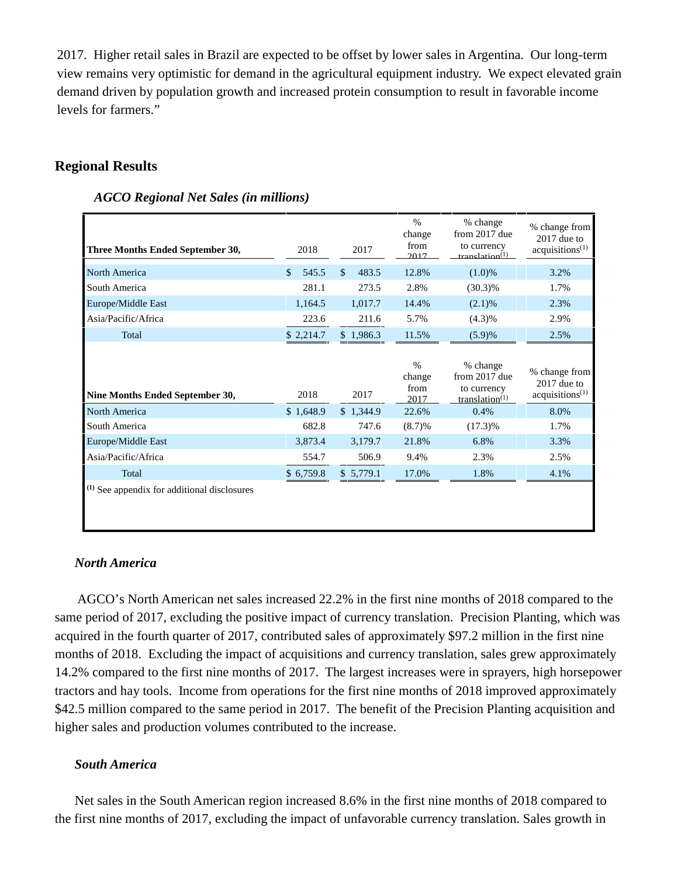2017. Higher retail sales in Brazil are expected to be offset by lower sales in Argentina. Our long-term view remains very optimistic for demand in the agricultural equipment industry. We expect elevated grain demand driven by population growth and increased protein consumption to result in favorable income levels for farmers."

### **Regional Results**

| Three Months Ended September 30,                       | 2018        | 2017                  | $\%$<br>change<br>from<br>2017 | % change<br>from 2017 due<br>to currency<br>tranclation(1)                          | % change from<br>$2017$ due to<br>acquisitions <sup>(1)</sup> |
|--------------------------------------------------------|-------------|-----------------------|--------------------------------|-------------------------------------------------------------------------------------|---------------------------------------------------------------|
| North America                                          | \$<br>545.5 | $\mathbb{S}$<br>483.5 | 12.8%                          | $(1.0)\%$                                                                           | 3.2%                                                          |
| South America                                          | 281.1       | 273.5                 | 2.8%                           | $(30.3)\%$                                                                          | 1.7%                                                          |
| Europe/Middle East                                     | 1,164.5     | 1,017.7               | 14.4%                          | $(2.1)\%$                                                                           | 2.3%                                                          |
| Asia/Pacific/Africa                                    | 223.6       | 211.6                 | 5.7%                           | (4.3)%                                                                              | 2.9%                                                          |
| Total                                                  | \$2,214.7   | \$1,986.3             | 11.5%                          | (5.9)%                                                                              | 2.5%                                                          |
| Nine Months Ended September 30,                        | 2018        | 2017                  | $\%$<br>change<br>from<br>2017 | % change<br>from 2017 due<br>to currency<br>translation <sup><math>(1)</math></sup> | % change from<br>$2017$ due to<br>acquisitions <sup>(1)</sup> |
| North America                                          | \$1,648.9   | \$1,344.9             | 22.6%                          | 0.4%                                                                                | 8.0%                                                          |
| South America                                          | 682.8       | 747.6                 | (8.7)%                         | $(17.3)\%$                                                                          | 1.7%                                                          |
| Europe/Middle East                                     | 3,873.4     | 3,179.7               | 21.8%                          | 6.8%                                                                                | 3.3%                                                          |
| Asia/Pacific/Africa                                    | 554.7       | 506.9                 | 9.4%                           | 2.3%                                                                                | 2.5%                                                          |
| Total                                                  | \$6,759.8   | \$5,779.1             | 17.0%                          | 1.8%                                                                                | 4.1%                                                          |
| <sup>(1)</sup> See appendix for additional disclosures |             |                       |                                |                                                                                     |                                                               |

*AGCO Regional Net Sales (in millions)*

### *North America*

AGCO's North American net sales increased 22.2% in the first nine months of 2018 compared to the same period of 2017, excluding the positive impact of currency translation. Precision Planting, which was acquired in the fourth quarter of 2017, contributed sales of approximately \$97.2 million in the first nine months of 2018. Excluding the impact of acquisitions and currency translation, sales grew approximately 14.2% compared to the first nine months of 2017. The largest increases were in sprayers, high horsepower tractors and hay tools. Income from operations for the first nine months of 2018 improved approximately \$42.5 million compared to the same period in 2017. The benefit of the Precision Planting acquisition and higher sales and production volumes contributed to the increase.

### *South America*

Net sales in the South American region increased 8.6% in the first nine months of 2018 compared to the first nine months of 2017, excluding the impact of unfavorable currency translation. Sales growth in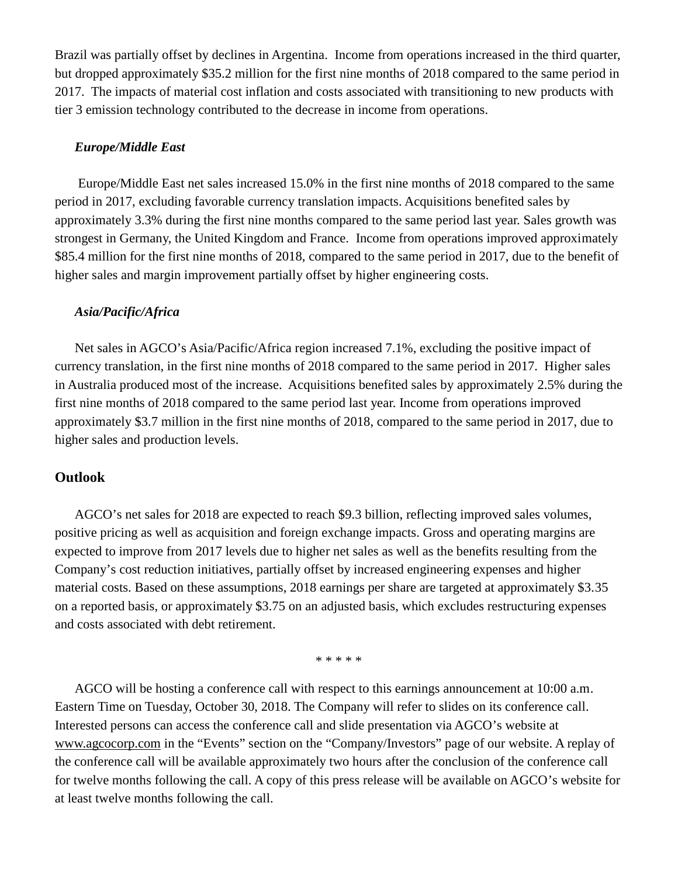Brazil was partially offset by declines in Argentina. Income from operations increased in the third quarter, but dropped approximately \$35.2 million for the first nine months of 2018 compared to the same period in 2017. The impacts of material cost inflation and costs associated with transitioning to new products with tier 3 emission technology contributed to the decrease in income from operations.

### *Europe/Middle East*

Europe/Middle East net sales increased 15.0% in the first nine months of 2018 compared to the same period in 2017, excluding favorable currency translation impacts. Acquisitions benefited sales by approximately 3.3% during the first nine months compared to the same period last year. Sales growth was strongest in Germany, the United Kingdom and France. Income from operations improved approximately \$85.4 million for the first nine months of 2018, compared to the same period in 2017, due to the benefit of higher sales and margin improvement partially offset by higher engineering costs.

### *Asia/Pacific/Africa*

Net sales in AGCO's Asia/Pacific/Africa region increased 7.1%, excluding the positive impact of currency translation, in the first nine months of 2018 compared to the same period in 2017. Higher sales in Australia produced most of the increase. Acquisitions benefited sales by approximately 2.5% during the first nine months of 2018 compared to the same period last year. Income from operations improved approximately \$3.7 million in the first nine months of 2018, compared to the same period in 2017, due to higher sales and production levels.

### **Outlook**

AGCO's net sales for 2018 are expected to reach \$9.3 billion, reflecting improved sales volumes, positive pricing as well as acquisition and foreign exchange impacts. Gross and operating margins are expected to improve from 2017 levels due to higher net sales as well as the benefits resulting from the Company's cost reduction initiatives, partially offset by increased engineering expenses and higher material costs. Based on these assumptions, 2018 earnings per share are targeted at approximately \$3.35 on a reported basis, or approximately \$3.75 on an adjusted basis, which excludes restructuring expenses and costs associated with debt retirement.

\* \* \* \* \*

AGCO will be hosting a conference call with respect to this earnings announcement at 10:00 a.m. Eastern Time on Tuesday, October 30, 2018. The Company will refer to slides on its conference call. Interested persons can access the conference call and slide presentation via AGCO's website at www.agcocorp.com in the"Events" section on the "Company/Investors" page of our website. A replay of the conference call will be available approximately two hours after the conclusion of the conference call for twelve months following the call. A copy of this press release will be available on AGCO's website for at least twelve months following the call.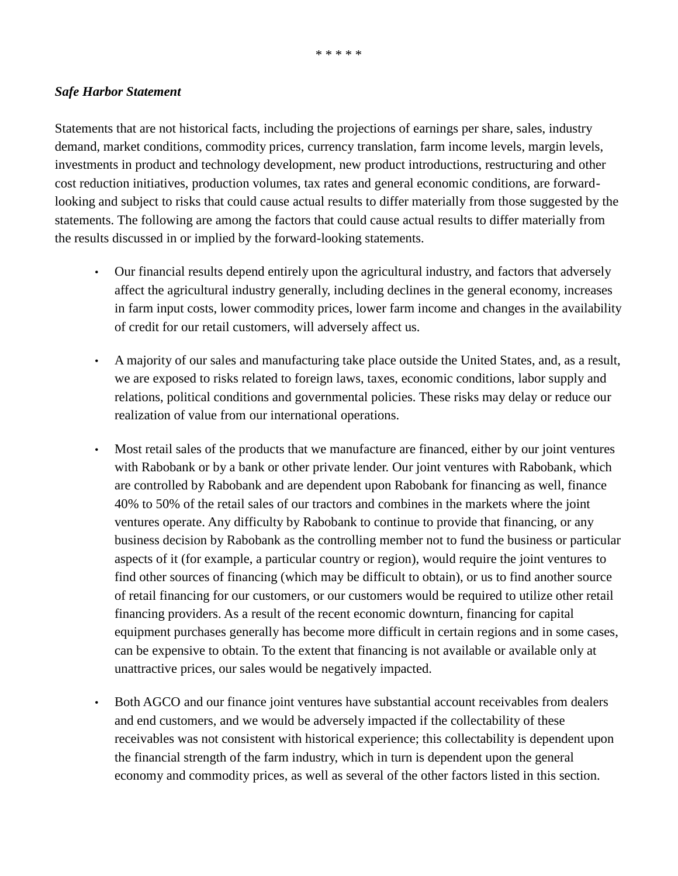### *Safe Harbor Statement*

Statements that are not historical facts, including the projections of earnings per share, sales, industry demand, market conditions, commodity prices, currency translation, farm income levels, margin levels, investments in product and technology development, new product introductions, restructuring and other cost reduction initiatives, production volumes, tax rates and general economic conditions, are forwardlooking and subject to risks that could cause actual results to differ materially from those suggested by the statements. The following are among the factors that could cause actual results to differ materially from the results discussed in or implied by the forward-looking statements.

- Our financial results depend entirely upon the agricultural industry, and factors that adversely affect the agricultural industry generally, including declines in the general economy, increases in farm input costs, lower commodity prices, lower farm income and changes in the availability of credit for our retail customers, will adversely affect us.
- A majority of our sales and manufacturing take place outside the United States, and, as a result, we are exposed to risks related to foreign laws, taxes, economic conditions, labor supply and relations, political conditions and governmental policies. These risks may delay or reduce our realization of value from our international operations.
- Most retail sales of the products that we manufacture are financed, either by our joint ventures with Rabobank or by a bank or other private lender. Our joint ventures with Rabobank, which are controlled by Rabobank and are dependent upon Rabobank for financing as well, finance 40% to 50% of the retail sales of our tractors and combines in the markets where the joint ventures operate. Any difficulty by Rabobank to continue to provide that financing, or any business decision by Rabobank as the controlling member not to fund the business or particular aspects of it (for example, a particular country or region), would require the joint ventures to find other sources of financing (which may be difficult to obtain), or us to find another source of retail financing for our customers, or our customers would be required to utilize other retail financing providers. As a result of the recent economic downturn, financing for capital equipment purchases generally has become more difficult in certain regions and in some cases, can be expensive to obtain. To the extent that financing is not available or available only at unattractive prices, our sales would be negatively impacted.
- Both AGCO and our finance joint ventures have substantial account receivables from dealers and end customers, and we would be adversely impacted if the collectability of these receivables was not consistent with historical experience; this collectability is dependent upon the financial strength of the farm industry, which in turn is dependent upon the general economy and commodity prices, as well as several of the other factors listed in this section.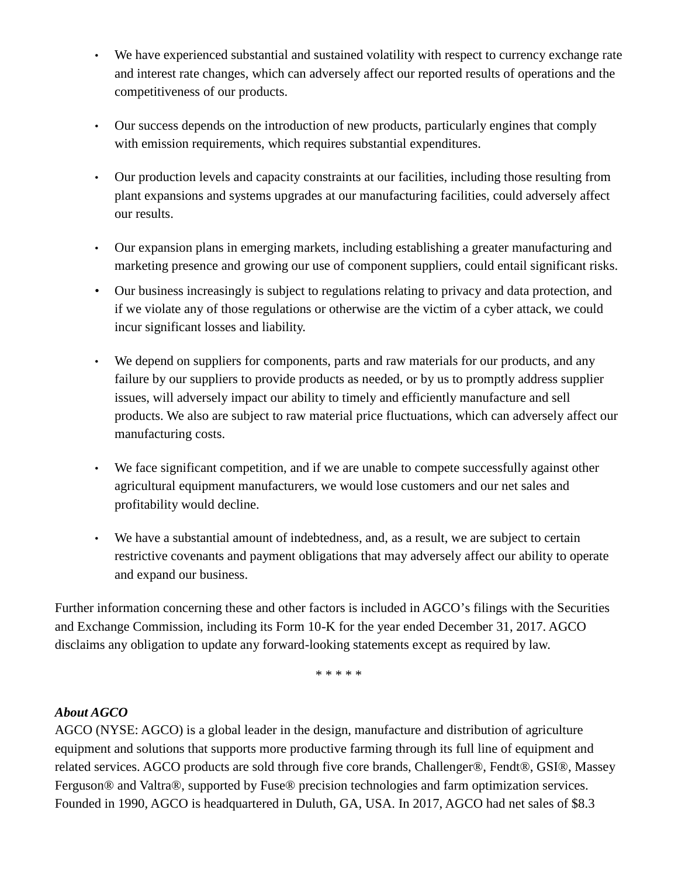- We have experienced substantial and sustained volatility with respect to currency exchange rate and interest rate changes, which can adversely affect our reported results of operations and the competitiveness of our products.
- Our success depends on the introduction of new products, particularly engines that comply with emission requirements, which requires substantial expenditures.
- Our production levels and capacity constraints at our facilities, including those resulting from plant expansions and systems upgrades at our manufacturing facilities, could adversely affect our results.
- Our expansion plans in emerging markets, including establishing a greater manufacturing and marketing presence and growing our use of component suppliers, could entail significant risks.
- Our business increasingly is subject to regulations relating to privacy and data protection, and if we violate any of those regulations or otherwise are the victim of a cyber attack, we could incur significant losses and liability.
- We depend on suppliers for components, parts and raw materials for our products, and any failure by our suppliers to provide products as needed, or by us to promptly address supplier issues, will adversely impact our ability to timely and efficiently manufacture and sell products. We also are subject to raw material price fluctuations, which can adversely affect our manufacturing costs.
- We face significant competition, and if we are unable to compete successfully against other agricultural equipment manufacturers, we would lose customers and our net sales and profitability would decline.
- We have a substantial amount of indebtedness, and, as a result, we are subject to certain restrictive covenants and payment obligations that may adversely affect our ability to operate and expand our business.

Further information concerning these and other factors is included in AGCO's filings with the Securities and Exchange Commission, including its Form 10-K for the year ended December 31, 2017. AGCO disclaims any obligation to update any forward-looking statements except as required by law.

\* \* \* \* \*

### *About AGCO*

AGCO (NYSE: AGCO) is a global leader in the design, manufacture and distribution of agriculture equipment and solutions that supports more productive farming through its full line of equipment and related services. AGCO products are sold through five core brands, Challenger®, Fendt®, GSI®, Massey Ferguson® and Valtra®, supported by Fuse® precision technologies and farm optimization services. Founded in 1990, AGCO is headquartered in Duluth, GA, USA. In 2017, AGCO had net sales of \$8.3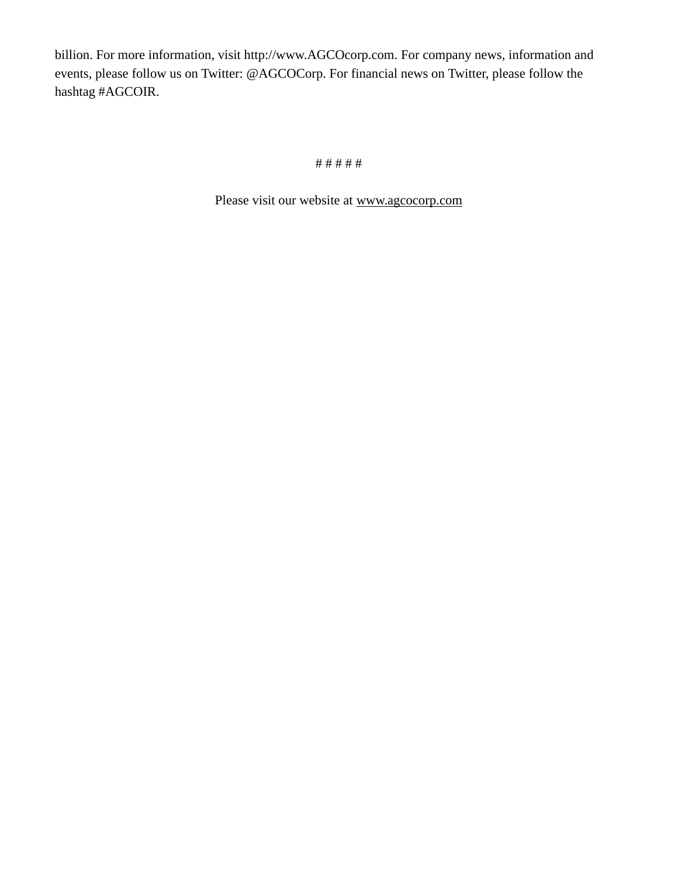billion. For more information, visit http://www.AGCOcorp.com. For company news, information and events, please follow us on Twitter: @AGCOCorp. For financial news on Twitter, please follow the hashtag #AGCOIR.

# # # # #

Please visit our website at www.agcocorp.com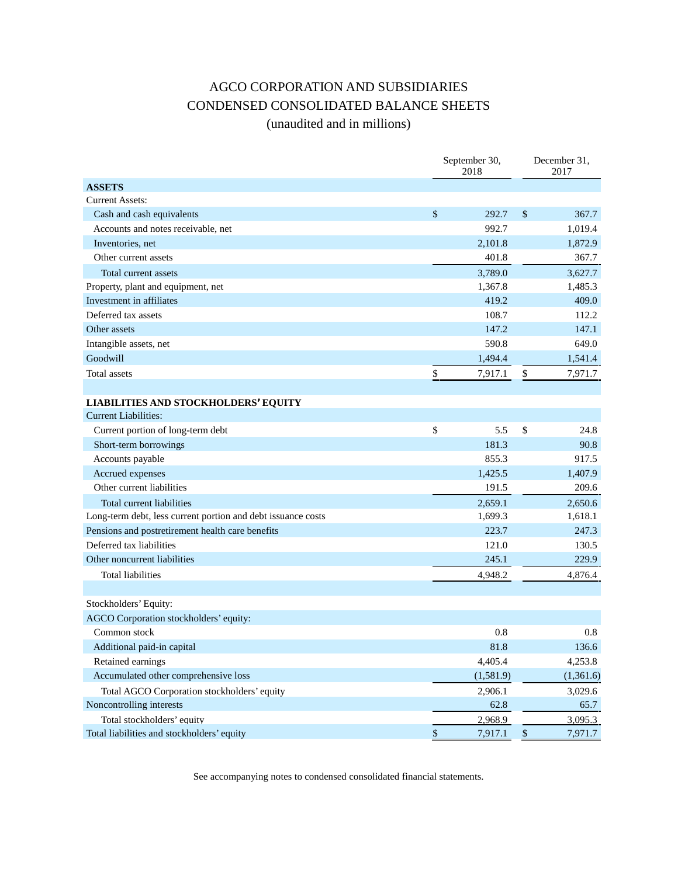# AGCO CORPORATION AND SUBSIDIARIES CONDENSED CONSOLIDATED BALANCE SHEETS

# (unaudited and in millions)

|                                                              | September 30,<br>2018 | December 31,<br>2017 |           |  |
|--------------------------------------------------------------|-----------------------|----------------------|-----------|--|
| <b>ASSETS</b>                                                |                       |                      |           |  |
| <b>Current Assets:</b>                                       |                       |                      |           |  |
| Cash and cash equivalents                                    | \$<br>292.7           | $\$\,$               | 367.7     |  |
| Accounts and notes receivable, net                           | 992.7                 |                      | 1,019.4   |  |
| Inventories, net                                             | 2,101.8               |                      | 1,872.9   |  |
| Other current assets                                         | 401.8                 |                      | 367.7     |  |
| Total current assets                                         | 3,789.0               |                      | 3,627.7   |  |
| Property, plant and equipment, net                           | 1,367.8               |                      | 1,485.3   |  |
| Investment in affiliates                                     | 419.2                 |                      | 409.0     |  |
| Deferred tax assets                                          | 108.7                 |                      | 112.2     |  |
| Other assets                                                 | 147.2                 |                      | 147.1     |  |
| Intangible assets, net                                       | 590.8                 |                      | 649.0     |  |
| Goodwill                                                     | 1,494.4               |                      | 1,541.4   |  |
| <b>Total assets</b>                                          | \$<br>7,917.1         | \$                   | 7,971.7   |  |
|                                                              |                       |                      |           |  |
| <b>LIABILITIES AND STOCKHOLDERS' EQUITY</b>                  |                       |                      |           |  |
| <b>Current Liabilities:</b>                                  |                       |                      |           |  |
| Current portion of long-term debt                            | \$<br>5.5             | \$                   | 24.8      |  |
| Short-term borrowings                                        | 181.3                 |                      | 90.8      |  |
| Accounts payable                                             | 855.3                 |                      | 917.5     |  |
| Accrued expenses                                             | 1,425.5               |                      | 1,407.9   |  |
| Other current liabilities                                    | 191.5                 |                      | 209.6     |  |
| Total current liabilities                                    | 2,659.1               |                      | 2,650.6   |  |
| Long-term debt, less current portion and debt issuance costs | 1,699.3               |                      | 1,618.1   |  |
| Pensions and postretirement health care benefits             | 223.7                 |                      | 247.3     |  |
| Deferred tax liabilities                                     | 121.0                 |                      | 130.5     |  |
| Other noncurrent liabilities                                 | 245.1                 |                      | 229.9     |  |
| <b>Total liabilities</b>                                     | 4,948.2               |                      | 4,876.4   |  |
|                                                              |                       |                      |           |  |
| Stockholders' Equity:                                        |                       |                      |           |  |
| AGCO Corporation stockholders' equity:                       |                       |                      |           |  |
| Common stock                                                 | 0.8                   |                      | 0.8       |  |
| Additional paid-in capital                                   | 81.8                  |                      | 136.6     |  |
| Retained earnings                                            | 4,405.4               |                      | 4,253.8   |  |
| Accumulated other comprehensive loss                         | (1,581.9)             |                      | (1,361.6) |  |
| Total AGCO Corporation stockholders' equity                  | 2,906.1               |                      | 3,029.6   |  |
| Noncontrolling interests                                     | 62.8                  |                      | 65.7      |  |
| Total stockholders' equity                                   | 2,968.9               |                      | 3,095.3   |  |
| Total liabilities and stockholders' equity                   | \$<br>7,917.1         | \$                   | 7,971.7   |  |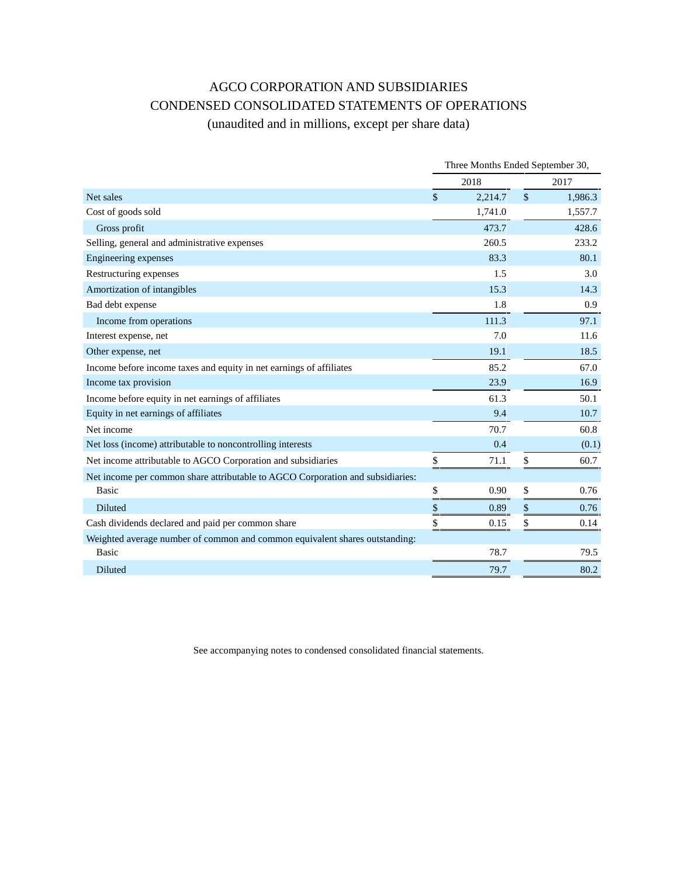# AGCO CORPORATION AND SUBSIDIARIES CONDENSED CONSOLIDATED STATEMENTS OF OPERATIONS

# (unaudited and in millions, except per share data)

|                                                                                | Three Months Ended September 30, |         |               |         |  |  |
|--------------------------------------------------------------------------------|----------------------------------|---------|---------------|---------|--|--|
|                                                                                |                                  | 2018    |               | 2017    |  |  |
| Net sales                                                                      | $\mathbb{S}$                     | 2,214.7 | $\mathsf{\$}$ | 1,986.3 |  |  |
| Cost of goods sold                                                             |                                  | 1,741.0 |               | 1,557.7 |  |  |
| Gross profit                                                                   |                                  | 473.7   |               | 428.6   |  |  |
| Selling, general and administrative expenses                                   |                                  | 260.5   |               | 233.2   |  |  |
| Engineering expenses                                                           |                                  | 83.3    |               | 80.1    |  |  |
| Restructuring expenses                                                         |                                  | 1.5     |               | 3.0     |  |  |
| Amortization of intangibles                                                    |                                  | 15.3    |               | 14.3    |  |  |
| Bad debt expense                                                               |                                  | 1.8     |               | 0.9     |  |  |
| Income from operations                                                         |                                  | 111.3   |               | 97.1    |  |  |
| Interest expense, net                                                          |                                  | 7.0     |               | 11.6    |  |  |
| Other expense, net                                                             |                                  | 19.1    |               | 18.5    |  |  |
| Income before income taxes and equity in net earnings of affiliates            |                                  | 85.2    |               | 67.0    |  |  |
| Income tax provision                                                           |                                  | 23.9    |               | 16.9    |  |  |
| Income before equity in net earnings of affiliates                             |                                  | 61.3    |               | 50.1    |  |  |
| Equity in net earnings of affiliates                                           |                                  | 9.4     |               | 10.7    |  |  |
| Net income                                                                     |                                  | 70.7    |               | 60.8    |  |  |
| Net loss (income) attributable to noncontrolling interests                     |                                  | 0.4     |               | (0.1)   |  |  |
| Net income attributable to AGCO Corporation and subsidiaries                   | \$                               | 71.1    | \$            | 60.7    |  |  |
| Net income per common share attributable to AGCO Corporation and subsidiaries: |                                  |         |               |         |  |  |
| <b>Basic</b>                                                                   | \$                               | 0.90    | \$            | 0.76    |  |  |
| <b>Diluted</b>                                                                 | $\mathbb{S}$                     | 0.89    | \$            | 0.76    |  |  |
| Cash dividends declared and paid per common share                              | \$                               | 0.15    | \$            | 0.14    |  |  |
| Weighted average number of common and common equivalent shares outstanding:    |                                  |         |               |         |  |  |
| <b>Basic</b>                                                                   |                                  | 78.7    |               | 79.5    |  |  |
| Diluted                                                                        |                                  | 79.7    |               | 80.2    |  |  |
|                                                                                |                                  |         |               |         |  |  |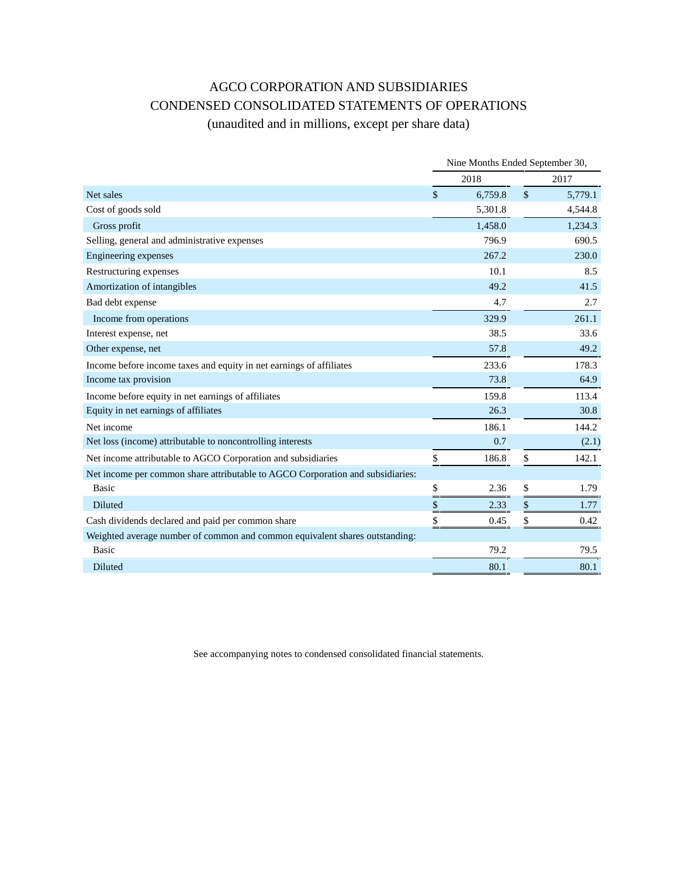# AGCO CORPORATION AND SUBSIDIARIES CONDENSED CONSOLIDATED STATEMENTS OF OPERATIONS

# (unaudited and in millions, except per share data)

|                                                                                | Nine Months Ended September 30, |         |    |         |  |  |
|--------------------------------------------------------------------------------|---------------------------------|---------|----|---------|--|--|
|                                                                                |                                 | 2018    |    | 2017    |  |  |
| Net sales                                                                      | \$                              | 6,759.8 | \$ | 5,779.1 |  |  |
| Cost of goods sold                                                             |                                 | 5,301.8 |    | 4,544.8 |  |  |
| Gross profit                                                                   |                                 | 1.458.0 |    | 1,234.3 |  |  |
| Selling, general and administrative expenses                                   |                                 | 796.9   |    | 690.5   |  |  |
| Engineering expenses                                                           |                                 | 267.2   |    | 230.0   |  |  |
| Restructuring expenses                                                         |                                 | 10.1    |    | 8.5     |  |  |
| Amortization of intangibles                                                    |                                 | 49.2    |    | 41.5    |  |  |
| Bad debt expense                                                               |                                 | 4.7     |    | 2.7     |  |  |
| Income from operations                                                         |                                 | 329.9   |    | 261.1   |  |  |
| Interest expense, net                                                          |                                 | 38.5    |    | 33.6    |  |  |
| Other expense, net                                                             |                                 | 57.8    |    | 49.2    |  |  |
| Income before income taxes and equity in net earnings of affiliates            |                                 | 233.6   |    | 178.3   |  |  |
| Income tax provision                                                           |                                 | 73.8    |    | 64.9    |  |  |
| Income before equity in net earnings of affiliates                             |                                 | 159.8   |    | 113.4   |  |  |
| Equity in net earnings of affiliates                                           |                                 | 26.3    |    | 30.8    |  |  |
| Net income                                                                     |                                 | 186.1   |    | 144.2   |  |  |
| Net loss (income) attributable to noncontrolling interests                     |                                 | 0.7     |    | (2.1)   |  |  |
| Net income attributable to AGCO Corporation and subsidiaries                   | \$                              | 186.8   | \$ | 142.1   |  |  |
| Net income per common share attributable to AGCO Corporation and subsidiaries: |                                 |         |    |         |  |  |
| <b>Basic</b>                                                                   | \$                              | 2.36    | \$ | 1.79    |  |  |
| <b>Diluted</b>                                                                 | $\$\,$                          | 2.33    | \$ | 1.77    |  |  |
| Cash dividends declared and paid per common share                              | \$                              | 0.45    | \$ | 0.42    |  |  |
| Weighted average number of common and common equivalent shares outstanding:    |                                 |         |    |         |  |  |
| <b>Basic</b>                                                                   |                                 | 79.2    |    | 79.5    |  |  |
| Diluted                                                                        |                                 | 80.1    |    | 80.1    |  |  |
|                                                                                |                                 |         |    |         |  |  |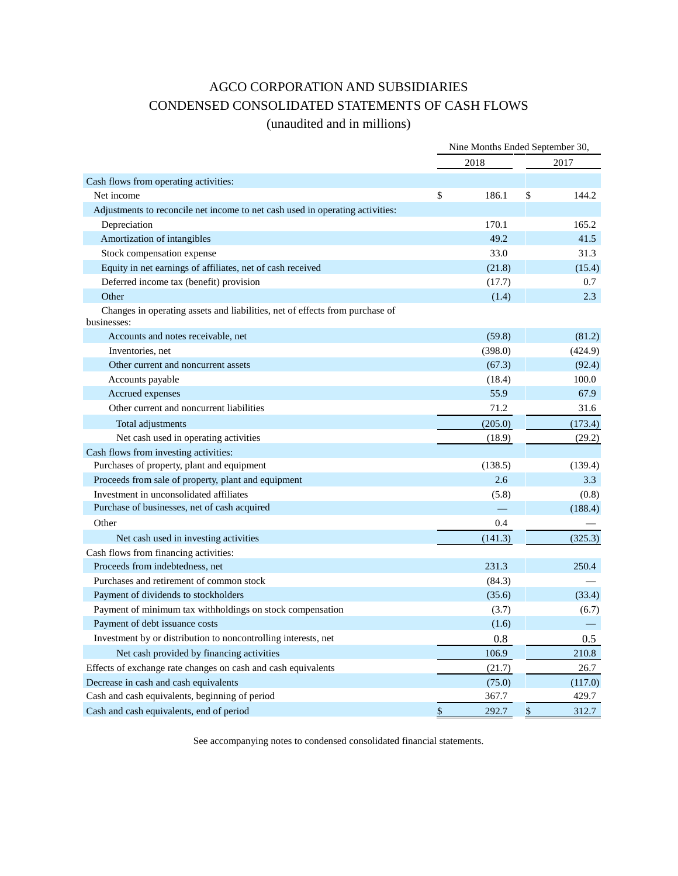# AGCO CORPORATION AND SUBSIDIARIES CONDENSED CONSOLIDATED STATEMENTS OF CASH FLOWS

## (unaudited and in millions)

|                                                                                             | Nine Months Ended September 30, |    |         |  |  |
|---------------------------------------------------------------------------------------------|---------------------------------|----|---------|--|--|
|                                                                                             | 2018                            |    | 2017    |  |  |
| Cash flows from operating activities:                                                       |                                 |    |         |  |  |
| Net income                                                                                  | \$<br>186.1                     | \$ | 144.2   |  |  |
| Adjustments to reconcile net income to net cash used in operating activities:               |                                 |    |         |  |  |
| Depreciation                                                                                | 170.1                           |    | 165.2   |  |  |
| Amortization of intangibles                                                                 | 49.2                            |    | 41.5    |  |  |
| Stock compensation expense                                                                  | 33.0                            |    | 31.3    |  |  |
| Equity in net earnings of affiliates, net of cash received                                  | (21.8)                          |    | (15.4)  |  |  |
| Deferred income tax (benefit) provision                                                     | (17.7)                          |    | 0.7     |  |  |
| Other                                                                                       | (1.4)                           |    | 2.3     |  |  |
| Changes in operating assets and liabilities, net of effects from purchase of<br>businesses: |                                 |    |         |  |  |
| Accounts and notes receivable, net                                                          | (59.8)                          |    | (81.2)  |  |  |
| Inventories, net                                                                            | (398.0)                         |    | (424.9) |  |  |
| Other current and noncurrent assets                                                         | (67.3)                          |    | (92.4)  |  |  |
| Accounts payable                                                                            | (18.4)                          |    | 100.0   |  |  |
| Accrued expenses                                                                            | 55.9                            |    | 67.9    |  |  |
| Other current and noncurrent liabilities                                                    | 71.2                            |    | 31.6    |  |  |
| Total adjustments                                                                           | (205.0)                         |    | (173.4) |  |  |
| Net cash used in operating activities                                                       | (18.9)                          |    | (29.2)  |  |  |
| Cash flows from investing activities:                                                       |                                 |    |         |  |  |
| Purchases of property, plant and equipment                                                  | (138.5)                         |    | (139.4) |  |  |
| Proceeds from sale of property, plant and equipment                                         | 2.6                             |    | 3.3     |  |  |
| Investment in unconsolidated affiliates                                                     | (5.8)                           |    | (0.8)   |  |  |
| Purchase of businesses, net of cash acquired                                                |                                 |    | (188.4) |  |  |
| Other                                                                                       | 0.4                             |    |         |  |  |
| Net cash used in investing activities                                                       | (141.3)                         |    | (325.3) |  |  |
| Cash flows from financing activities:                                                       |                                 |    |         |  |  |
| Proceeds from indebtedness, net                                                             | 231.3                           |    | 250.4   |  |  |
| Purchases and retirement of common stock                                                    | (84.3)                          |    |         |  |  |
| Payment of dividends to stockholders                                                        | (35.6)                          |    | (33.4)  |  |  |
| Payment of minimum tax withholdings on stock compensation                                   | (3.7)                           |    | (6.7)   |  |  |
| Payment of debt issuance costs                                                              | (1.6)                           |    |         |  |  |
| Investment by or distribution to noncontrolling interests, net                              | 0.8                             |    | 0.5     |  |  |
| Net cash provided by financing activities                                                   | 106.9                           |    | 210.8   |  |  |
| Effects of exchange rate changes on cash and cash equivalents                               | (21.7)                          |    | 26.7    |  |  |
| Decrease in cash and cash equivalents                                                       | (75.0)                          |    | (117.0) |  |  |
| Cash and cash equivalents, beginning of period                                              | 367.7                           |    | 429.7   |  |  |
| Cash and cash equivalents, end of period                                                    | \$<br>292.7                     | \$ | 312.7   |  |  |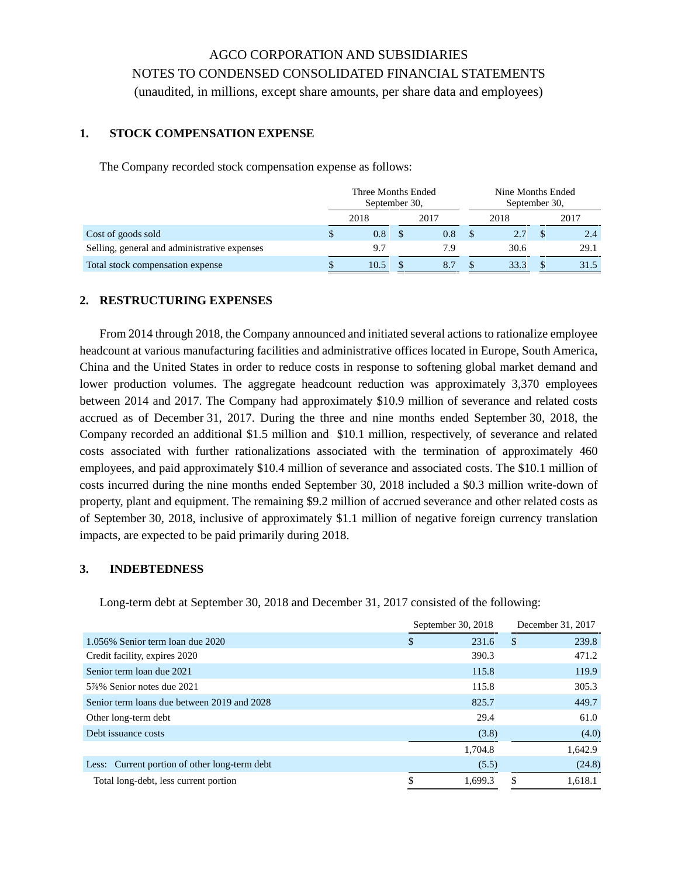# AGCO CORPORATION AND SUBSIDIARIES NOTES TO CONDENSED CONSOLIDATED FINANCIAL STATEMENTS (unaudited, in millions, except share amounts, per share data and employees)

### **1. STOCK COMPENSATION EXPENSE**

The Company recorded stock compensation expense as follows:

|                                              |  | Three Months Ended<br>September 30, |  | Nine Months Ended<br>September 30, |  |      |  |      |
|----------------------------------------------|--|-------------------------------------|--|------------------------------------|--|------|--|------|
|                                              |  | 2018                                |  | 2017                               |  | 2018 |  | 2017 |
| Cost of goods sold                           |  | 0.8                                 |  | 0.8                                |  | 2.7  |  | 2.4  |
| Selling, general and administrative expenses |  | 9.7                                 |  | 7.9                                |  | 30.6 |  | 29.1 |
| Total stock compensation expense             |  | 10.5                                |  | 8.7                                |  | 33.3 |  | 31.5 |

### **2. RESTRUCTURING EXPENSES**

From 2014 through 2018, the Company announced and initiated several actions to rationalize employee headcount at various manufacturing facilities and administrative offices located in Europe, South America, China and the United States in order to reduce costs in response to softening global market demand and lower production volumes. The aggregate headcount reduction was approximately 3,370 employees between 2014 and 2017. The Company had approximately \$10.9 million of severance and related costs accrued as of December 31, 2017. During the three and nine months ended September 30, 2018, the Company recorded an additional \$1.5 million and \$10.1 million, respectively, of severance and related costs associated with further rationalizations associated with the termination of approximately 460 employees, and paid approximately \$10.4 million of severance and associated costs. The \$10.1 million of costs incurred during the nine months ended September 30, 2018 included a \$0.3 million write-down of property, plant and equipment. The remaining \$9.2 million of accrued severance and other related costs as of September 30, 2018, inclusive of approximately \$1.1 million of negative foreign currency translation impacts, are expected to be paid primarily during 2018.

### **3. INDEBTEDNESS**

Long-term debt at September 30, 2018 and December 31, 2017 consisted of the following:

|                                               |    | September 30, 2018 | December 31, 2017 |         |  |
|-----------------------------------------------|----|--------------------|-------------------|---------|--|
| 1.056% Senior term loan due 2020              | \$ | 231.6              | \$                | 239.8   |  |
| Credit facility, expires 2020                 |    | 390.3              |                   | 471.2   |  |
| Senior term loan due 2021                     |    | 115.8              |                   | 119.9   |  |
| 5 % Senior notes due 2021                     |    | 115.8              |                   | 305.3   |  |
| Senior term loans due between 2019 and 2028   |    | 825.7              |                   | 449.7   |  |
| Other long-term debt                          |    | 29.4               |                   | 61.0    |  |
| Debt issuance costs                           |    | (3.8)              |                   | (4.0)   |  |
|                                               |    | 1,704.8            |                   | 1,642.9 |  |
| Less: Current portion of other long-term debt |    | (5.5)              |                   | (24.8)  |  |
| Total long-debt, less current portion         | J. | 1.699.3            | \$                | 1.618.1 |  |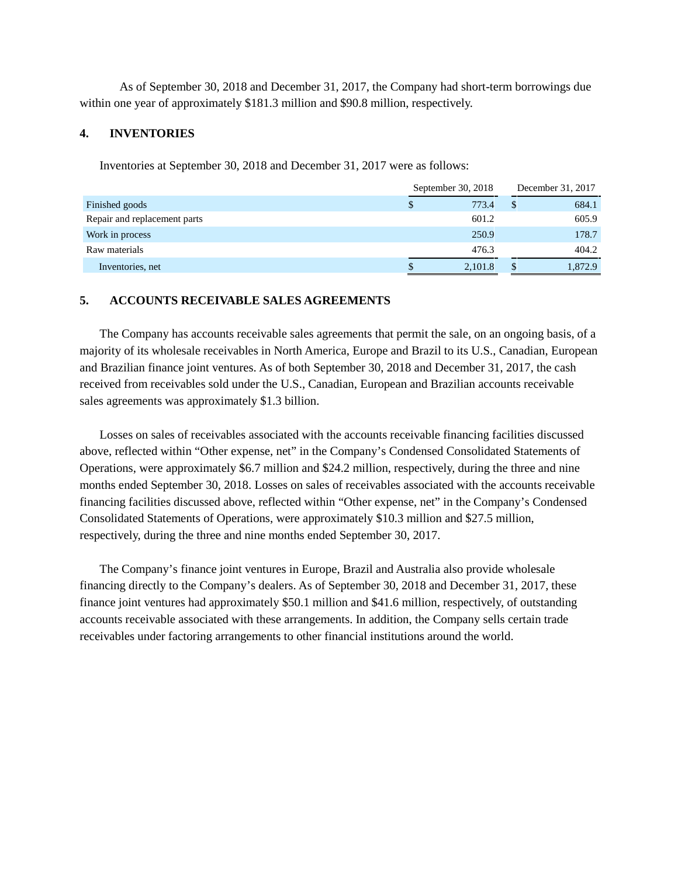As of September 30, 2018 and December 31, 2017, the Company had short-term borrowings due within one year of approximately \$181.3 million and \$90.8 million, respectively.

### **4. INVENTORIES**

Inventories at September 30, 2018 and December 31, 2017 were as follows:

|                              | September 30, 2018 | December 31, 2017 |         |  |
|------------------------------|--------------------|-------------------|---------|--|
| Finished goods               | \$<br>773.4        |                   | 684.1   |  |
| Repair and replacement parts | 601.2              |                   | 605.9   |  |
| Work in process              | 250.9              |                   | 178.7   |  |
| Raw materials                | 476.3              |                   | 404.2   |  |
| Inventories, net             | \$<br>2,101.8      |                   | 1,872.9 |  |

### **5. ACCOUNTS RECEIVABLE SALES AGREEMENTS**

The Company has accounts receivable sales agreements that permit the sale, on an ongoing basis, of a majority of its wholesale receivables in North America, Europe and Brazil to its U.S., Canadian, European and Brazilian finance joint ventures. As of both September 30, 2018 and December 31, 2017, the cash received from receivables sold under the U.S., Canadian, European and Brazilian accounts receivable sales agreements was approximately \$1.3 billion.

Losses on sales of receivables associated with the accounts receivable financing facilities discussed above, reflected within "Other expense, net" in the Company's Condensed Consolidated Statements of Operations, were approximately \$6.7 million and \$24.2 million, respectively, during the three and nine months ended September 30, 2018. Losses on sales of receivables associated with the accounts receivable financing facilities discussed above, reflected within "Other expense, net" in the Company's Condensed Consolidated Statements of Operations, were approximately \$10.3 million and \$27.5 million, respectively, during the three and nine months ended September 30, 2017.

The Company's finance joint ventures in Europe, Brazil and Australia also provide wholesale financing directly to the Company's dealers. As of September 30, 2018 and December 31, 2017, these finance joint ventures had approximately \$50.1 million and \$41.6 million, respectively, of outstanding accounts receivable associated with these arrangements. In addition, the Company sells certain trade receivables under factoring arrangements to other financial institutions around the world.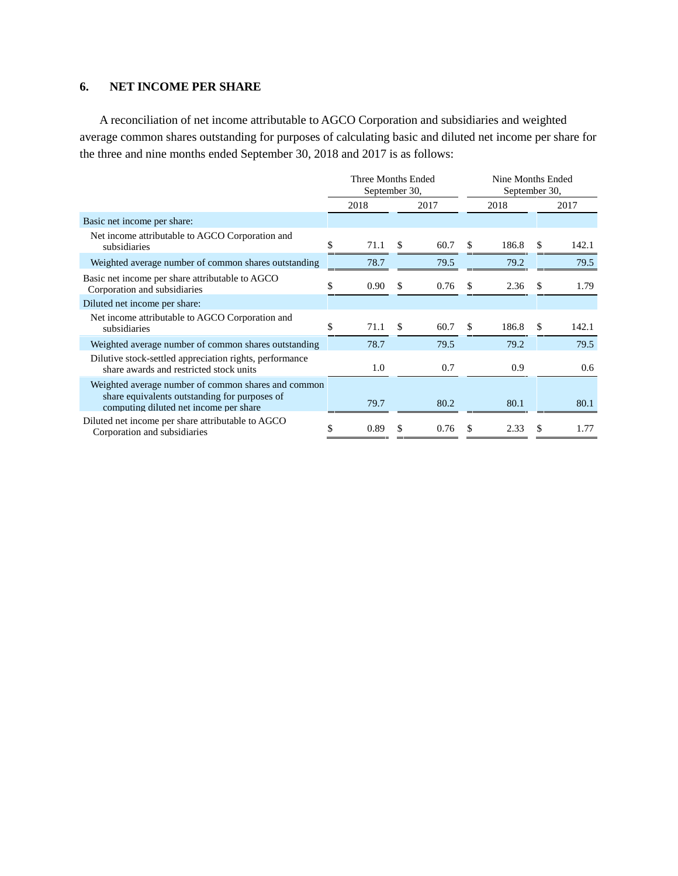### **6. NET INCOME PER SHARE**

A reconciliation of net income attributable to AGCO Corporation and subsidiaries and weighted average common shares outstanding for purposes of calculating basic and diluted net income per share for the three and nine months ended September 30, 2018 and 2017 is as follows:

|                                                                                                                                                | Three Months Ended<br>September 30, |      | Nine Months Ended<br>September 30, |          |       |      |       |
|------------------------------------------------------------------------------------------------------------------------------------------------|-------------------------------------|------|------------------------------------|----------|-------|------|-------|
|                                                                                                                                                | 2018                                | 2017 |                                    |          | 2018  | 2017 |       |
| Basic net income per share:                                                                                                                    |                                     |      |                                    |          |       |      |       |
| Net income attributable to AGCO Corporation and<br>subsidiaries                                                                                | \$<br>71.1                          | \$   | 60.7                               | \$.      | 186.8 | \$   | 142.1 |
| Weighted average number of common shares outstanding                                                                                           | 78.7                                |      | 79.5                               |          | 79.2  |      | 79.5  |
| Basic net income per share attributable to AGCO<br>Corporation and subsidiaries                                                                | \$<br>0.90                          | \$   | 0.76                               | \$.      | 2.36  | S    | 1.79  |
| Diluted net income per share:                                                                                                                  |                                     |      |                                    |          |       |      |       |
| Net income attributable to AGCO Corporation and<br>subsidiaries                                                                                | \$<br>71.1                          | \$.  | 60.7                               | <b>S</b> | 186.8 | -S   | 142.1 |
| Weighted average number of common shares outstanding                                                                                           | 78.7                                |      | 79.5                               |          | 79.2  |      | 79.5  |
| Dilutive stock-settled appreciation rights, performance<br>share awards and restricted stock units                                             | 1.0                                 |      | 0.7                                |          | 0.9   |      | 0.6   |
| Weighted average number of common shares and common<br>share equivalents outstanding for purposes of<br>computing diluted net income per share | 79.7                                |      | 80.2                               |          | 80.1  |      | 80.1  |
| Diluted net income per share attributable to AGCO<br>Corporation and subsidiaries                                                              | \$<br>0.89                          | \$   | 0.76                               | S        | 2.33  | S    | 1.77  |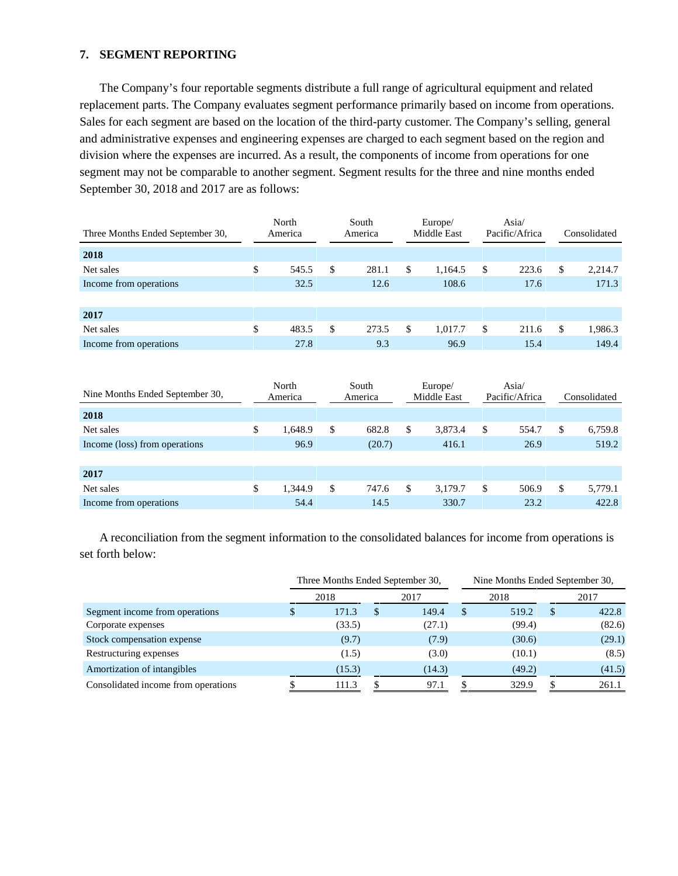### **7. SEGMENT REPORTING**

The Company's four reportable segments distribute a full range of agricultural equipment and related replacement parts. The Company evaluates segment performance primarily based on income from operations. Sales for each segment are based on the location of the third-party customer. The Company's selling, general and administrative expenses and engineering expenses are charged to each segment based on the region and division where the expenses are incurred. As a result, the components of income from operations for one segment may not be comparable to another segment. Segment results for the three and nine months ended September 30, 2018 and 2017 are as follows:

| Three Months Ended September 30, | North<br>South<br>America<br>America |       | Europe/<br>Middle East |       | Asia/<br>Pacific/Africa |         | Consolidated |       |    |         |
|----------------------------------|--------------------------------------|-------|------------------------|-------|-------------------------|---------|--------------|-------|----|---------|
| 2018                             |                                      |       |                        |       |                         |         |              |       |    |         |
| Net sales                        | \$                                   | 545.5 | S                      | 281.1 | S                       | 1.164.5 | S            | 223.6 | \$ | 2,214.7 |
| Income from operations           |                                      | 32.5  |                        | 12.6  |                         | 108.6   |              | 17.6  |    | 171.3   |
|                                  |                                      |       |                        |       |                         |         |              |       |    |         |
| 2017                             |                                      |       |                        |       |                         |         |              |       |    |         |
| Net sales                        | \$                                   | 483.5 | <sup>\$</sup>          | 273.5 | S                       | 1.017.7 | S            | 211.6 | S  | 1,986.3 |
| Income from operations           |                                      | 27.8  |                        | 9.3   |                         | 96.9    |              | 15.4  |    | 149.4   |

| Nine Months Ended September 30, | North<br>America |         | South<br>America |        | Europe/<br>Middle East |         | Asia/<br>Pacific/Africa |       | Consolidated |         |
|---------------------------------|------------------|---------|------------------|--------|------------------------|---------|-------------------------|-------|--------------|---------|
| 2018                            |                  |         |                  |        |                        |         |                         |       |              |         |
| Net sales                       | \$               | 1.648.9 | S                | 682.8  | S                      | 3.873.4 | S                       | 554.7 | \$           | 6,759.8 |
| Income (loss) from operations   |                  | 96.9    |                  | (20.7) |                        | 416.1   |                         | 26.9  |              | 519.2   |
|                                 |                  |         |                  |        |                        |         |                         |       |              |         |
| 2017                            |                  |         |                  |        |                        |         |                         |       |              |         |
| Net sales                       | \$               | 1.344.9 | S                | 747.6  | S                      | 3.179.7 | S                       | 506.9 | \$           | 5,779.1 |
| Income from operations          |                  | 54.4    |                  | 14.5   |                        | 330.7   |                         | 23.2  |              | 422.8   |

A reconciliation from the segment information to the consolidated balances for income from operations is set forth below:

|                                     | Three Months Ended September 30, |             | Nine Months Ended September 30, |        |      |        |  |  |  |
|-------------------------------------|----------------------------------|-------------|---------------------------------|--------|------|--------|--|--|--|
|                                     | 2018                             | 2017        |                                 | 2018   | 2017 |        |  |  |  |
| Segment income from operations      | 171.3                            | \$<br>149.4 | <sup>\$</sup>                   | 519.2  | \$.  | 422.8  |  |  |  |
| Corporate expenses                  | (33.5)                           | (27.1)      |                                 | (99.4) |      | (82.6) |  |  |  |
| Stock compensation expense          | (9.7)                            | (7.9)       |                                 | (30.6) |      | (29.1) |  |  |  |
| Restructuring expenses              | (1.5)                            | (3.0)       |                                 | (10.1) |      | (8.5)  |  |  |  |
| Amortization of intangibles         | (15.3)                           | (14.3)      |                                 | (49.2) |      | (41.5) |  |  |  |
| Consolidated income from operations | 111.3                            | 97.1        |                                 | 329.9  |      | 261.1  |  |  |  |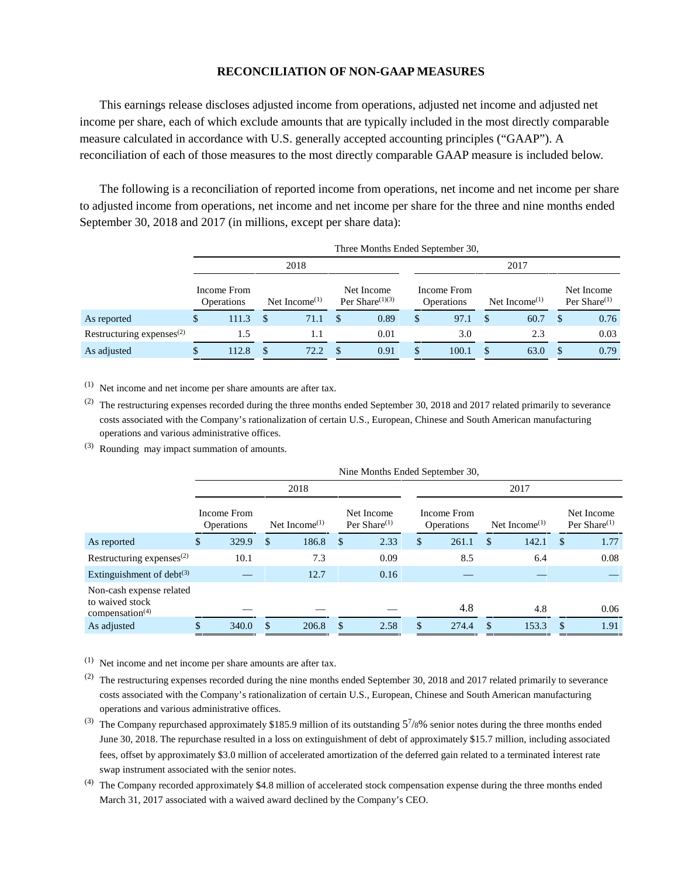#### **RECONCILIATION OF NON-GAAP MEASURES**

This earnings release discloses adjusted income from operations, adjusted net income and adjusted net income per share, each of which exclude amounts that are typically included in the most directly comparable measure calculated in accordance with U.S. generally accepted accounting principles ("GAAP"). A reconciliation of each of those measures to the most directly comparable GAAP measure is included below.

The following is a reconciliation of reported income from operations, net income and net income per share to adjusted income from operations, net income and net income per share for the three and nine months ended September 30, 2018 and 2017 (in millions, except per share data):

|                                 |                                  |      |                  |   | Three Months Ended September 30, |                                  |     |                                        |                               |
|---------------------------------|----------------------------------|------|------------------|---|----------------------------------|----------------------------------|-----|----------------------------------------|-------------------------------|
|                                 |                                  |      | 2018             |   |                                  |                                  |     | 2017                                   |                               |
|                                 | Income From<br><b>Operations</b> |      | Net Income $(1)$ |   | Net Income<br>Per Share $(1)(3)$ | Income From<br><b>Operations</b> |     | Net Income <sup><math>(1)</math></sup> | Net Income<br>Per Share $(1)$ |
| As reported                     | \$<br>111.3                      | - \$ | 71.1             | S | 0.89                             | \$<br>97.1                       | \$. | 60.7                                   | 0.76                          |
| Restructuring expenses $^{(2)}$ | 1.5                              |      | 1.1              |   | 0.01                             | 3.0                              |     | 2.3                                    | 0.03                          |
| As adjusted                     | \$<br>112.8                      |      | 72.2             | S | 0.91                             | \$<br>100.1                      | \$. | 63.0                                   | 0.79                          |

 $(1)$  Net income and net income per share amounts are after tax.

(2) The restructuring expenses recorded during the three months ended September 30, 2018 and 2017 related primarily to severance costs associated with the Company's rationalization of certain U.S., European, Chinese and South American manufacturing operations and various administrative offices.

(3) Rounding may impact summation of amounts.

|                                                                   | Nine Months Ended September 30, |       |                                        |       |                               |      |                                  |       |                                        |       |                               |      |  |  |  |
|-------------------------------------------------------------------|---------------------------------|-------|----------------------------------------|-------|-------------------------------|------|----------------------------------|-------|----------------------------------------|-------|-------------------------------|------|--|--|--|
|                                                                   |                                 |       |                                        | 2018  |                               |      | 2017                             |       |                                        |       |                               |      |  |  |  |
|                                                                   | Income From<br>Operations       |       | Net Income <sup><math>(1)</math></sup> |       | Net Income<br>Per Share $(1)$ |      | Income From<br><b>Operations</b> |       | Net Income <sup><math>(1)</math></sup> |       | Net Income<br>Per Share $(1)$ |      |  |  |  |
| As reported                                                       | \$                              | 329.9 | <sup>\$</sup>                          | 186.8 | \$                            | 2.33 | S.                               | 261.1 | <sup>\$</sup>                          | 142.1 | <sup>\$</sup>                 | 1.77 |  |  |  |
| Restructuring expenses $^{(2)}$                                   |                                 | 10.1  |                                        | 7.3   |                               | 0.09 |                                  | 8.5   |                                        | 6.4   |                               | 0.08 |  |  |  |
| Extinguishment of debt <sup>(3)</sup>                             |                                 |       |                                        | 12.7  |                               | 0.16 |                                  |       |                                        |       |                               |      |  |  |  |
| Non-cash expense related<br>to waived stock<br>compensation $(4)$ |                                 |       |                                        |       |                               |      |                                  | 4.8   |                                        | 4.8   |                               | 0.06 |  |  |  |
| As adjusted                                                       |                                 | 340.0 | \$.                                    | 206.8 | \$.                           | 2.58 |                                  | 274.4 | \$                                     | 153.3 |                               | 1.91 |  |  |  |
|                                                                   |                                 |       |                                        |       |                               |      |                                  |       |                                        |       |                               |      |  |  |  |

(1) Net income and net income per share amounts are after tax.

- $^{(2)}$  The restructuring expenses recorded during the nine months ended September 30, 2018 and 2017 related primarily to severance costs associated with the Company's rationalization of certain U.S., European, Chinese and South American manufacturing operations and various administrative offices.
- <sup>(3)</sup> The Company repurchased approximately \$185.9 million of its outstanding  $5^{7}/8\%$  senior notes during the three months ended June 30, 2018. The repurchase resulted in a loss on extinguishment of debt of approximately \$15.7 million, including associated fees, offset by approximately \$3.0 million of accelerated amortization of the deferred gain related to a terminated interest rate swap instrument associated with the senior notes.
- (4) The Company recorded approximately \$4.8 million of accelerated stock compensation expense during the three months ended March 31, 2017 associated with a waived award declined by the Company's CEO.